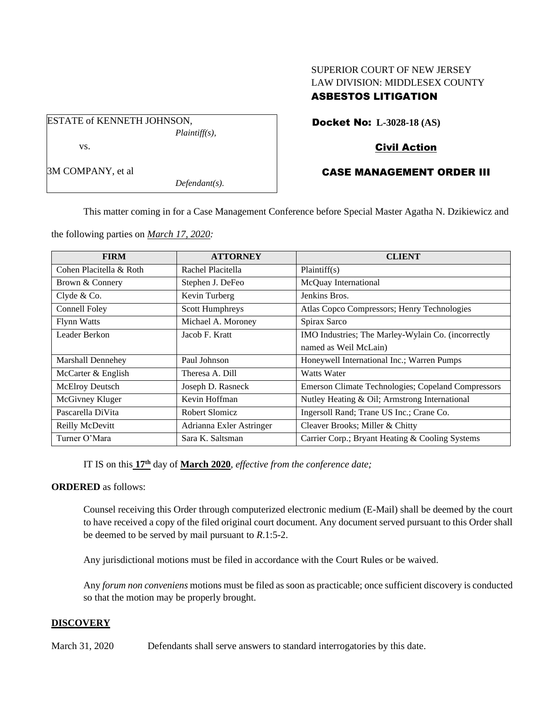# SUPERIOR COURT OF NEW JERSEY LAW DIVISION: MIDDLESEX COUNTY ASBESTOS LITIGATION

Docket No: **L-3028-18 (AS)**

## Civil Action

#### CASE MANAGEMENT ORDER III

This matter coming in for a Case Management Conference before Special Master Agatha N. Dzikiewicz and

the following parties on *March 17, 2020:*

| <b>FIRM</b>             | <b>ATTORNEY</b>          | <b>CLIENT</b>                                      |
|-------------------------|--------------------------|----------------------------------------------------|
| Cohen Placitella & Roth | Rachel Placitella        | Plaintiff(s)                                       |
| Brown & Connery         | Stephen J. DeFeo         | McQuay International                               |
| Clyde & Co.             | Kevin Turberg            | Jenkins Bros.                                      |
| Connell Foley           | Scott Humphreys          | Atlas Copco Compressors; Henry Technologies        |
| <b>Flynn Watts</b>      | Michael A. Moroney       | Spirax Sarco                                       |
| Leader Berkon           | Jacob F. Kratt           | IMO Industries; The Marley-Wylain Co. (incorrectly |
|                         |                          | named as Weil McLain)                              |
| Marshall Dennehey       | Paul Johnson             | Honeywell International Inc.; Warren Pumps         |
| McCarter & English      | Theresa A. Dill          | Watts Water                                        |
| McElroy Deutsch         | Joseph D. Rasneck        | Emerson Climate Technologies; Copeland Compressors |
| McGivney Kluger         | Kevin Hoffman            | Nutley Heating & Oil; Armstrong International      |
| Pascarella DiVita       | Robert Slomicz           | Ingersoll Rand; Trane US Inc.; Crane Co.           |
| Reilly McDevitt         | Adrianna Exler Astringer | Cleaver Brooks; Miller & Chitty                    |
| Turner O'Mara           | Sara K. Saltsman         | Carrier Corp.; Bryant Heating & Cooling Systems    |

IT IS on this **17th** day of **March 2020**, *effective from the conference date;*

#### **ORDERED** as follows:

Counsel receiving this Order through computerized electronic medium (E-Mail) shall be deemed by the court to have received a copy of the filed original court document. Any document served pursuant to this Order shall be deemed to be served by mail pursuant to *R*.1:5-2.

Any jurisdictional motions must be filed in accordance with the Court Rules or be waived.

Any *forum non conveniens* motions must be filed as soon as practicable; once sufficient discovery is conducted so that the motion may be properly brought.

### **DISCOVERY**

March 31, 2020 Defendants shall serve answers to standard interrogatories by this date.



*Defendant(s).*

3M COMPANY, et al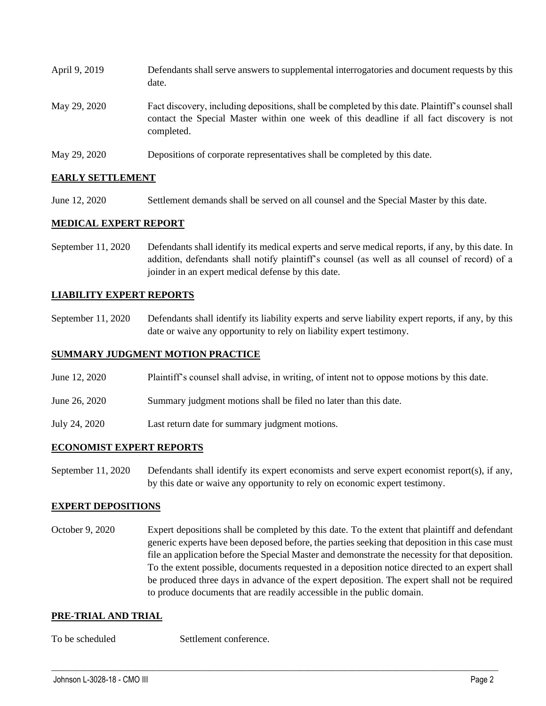| April 9, 2019 | Defendants shall serve answers to supplemental interrogatories and document requests by this<br>date.                                                                                                       |
|---------------|-------------------------------------------------------------------------------------------------------------------------------------------------------------------------------------------------------------|
| May 29, 2020  | Fact discovery, including depositions, shall be completed by this date. Plaintiff's counsel shall<br>contact the Special Master within one week of this deadline if all fact discovery is not<br>completed. |
| May 29, 2020  | Depositions of corporate representatives shall be completed by this date.                                                                                                                                   |

## **EARLY SETTLEMENT**

June 12, 2020 Settlement demands shall be served on all counsel and the Special Master by this date.

### **MEDICAL EXPERT REPORT**

September 11, 2020 Defendants shall identify its medical experts and serve medical reports, if any, by this date. In addition, defendants shall notify plaintiff's counsel (as well as all counsel of record) of a joinder in an expert medical defense by this date.

### **LIABILITY EXPERT REPORTS**

September 11, 2020 Defendants shall identify its liability experts and serve liability expert reports, if any, by this date or waive any opportunity to rely on liability expert testimony.

#### **SUMMARY JUDGMENT MOTION PRACTICE**

- June 12, 2020 Plaintiff's counsel shall advise, in writing, of intent not to oppose motions by this date.
- June 26, 2020 Summary judgment motions shall be filed no later than this date.
- July 24, 2020 Last return date for summary judgment motions.

#### **ECONOMIST EXPERT REPORTS**

September 11, 2020 Defendants shall identify its expert economists and serve expert economist report(s), if any, by this date or waive any opportunity to rely on economic expert testimony.

### **EXPERT DEPOSITIONS**

October 9, 2020 Expert depositions shall be completed by this date. To the extent that plaintiff and defendant generic experts have been deposed before, the parties seeking that deposition in this case must file an application before the Special Master and demonstrate the necessity for that deposition. To the extent possible, documents requested in a deposition notice directed to an expert shall be produced three days in advance of the expert deposition. The expert shall not be required to produce documents that are readily accessible in the public domain.

 $\_$  , and the set of the set of the set of the set of the set of the set of the set of the set of the set of the set of the set of the set of the set of the set of the set of the set of the set of the set of the set of th

#### **PRE-TRIAL AND TRIAL**

To be scheduled Settlement conference.